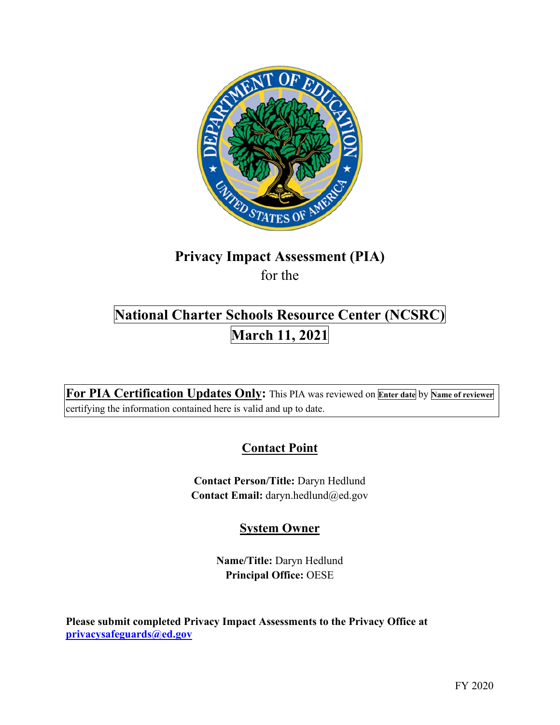

# **Privacy Impact Assessment (PIA)**

for the

## **National Charter Schools Resource Center (NCSRC) March 11, 2021**

 **For PIA Certification Updates Only:** This PIA was reviewed on **Enter date** by **Name of reviewer**  certifying the information contained here is valid and up to date.

## **Contact Point**

**Contact Person/Title:** Daryn Hedlund **Contact Email:** [daryn.hedlund@ed.gov](mailto:daryn.hedlund@ed.gov) 

## **System Owner**

**Name/Title:** Daryn Hedlund **Principal Office:** OESE

 **[privacysafeguards@ed.gov](mailto:privacysafeguards@ed.gov) Please submit completed Privacy Impact Assessments to the Privacy Office at**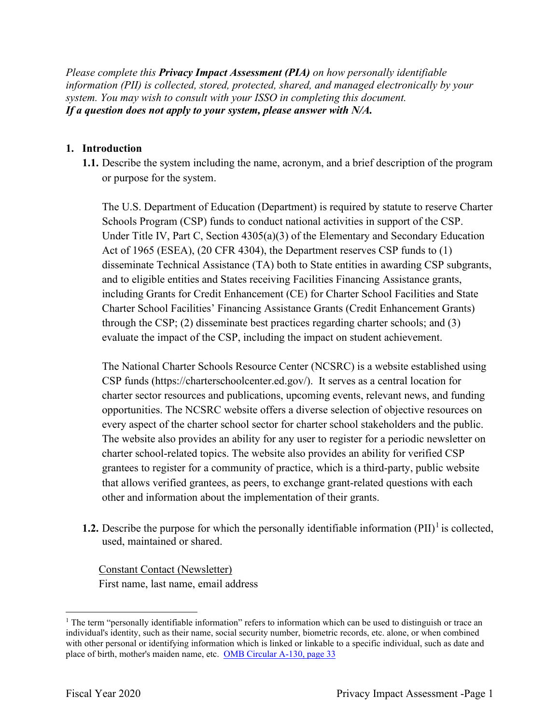*Please complete this Privacy Impact Assessment (PIA) on how personally identifiable information (PII) is collected, stored, protected, shared, and managed electronically by your system. You may wish to consult with your ISSO in completing this document. If a question does not apply to your system, please answer with N/A.* 

#### **1. Introduction**

 **1.1.** Describe the system including the name, acronym, and a brief description of the program or purpose for the system.

or purpose for the system.<br>The U.S. Department of Education (Department) is required by statute to reserve Charter Act of 1965 (ESEA), (20 CFR 4304), the Department reserves CSP funds to (1) and to eligible entities and States receiving Facilities Financing Assistance grants, through the CSP; (2) disseminate best practices regarding charter schools; and (3) Schools Program (CSP) funds to conduct national activities in support of the CSP. Under Title IV, Part C, Section 4305(a)(3) of the Elementary and Secondary Education disseminate Technical Assistance (TA) both to State entities in awarding CSP subgrants, including Grants for Credit Enhancement (CE) for Charter School Facilities and State Charter School Facilities' Financing Assistance Grants (Credit Enhancement Grants) evaluate the impact of the CSP, including the impact on student achievement.

 CSP funds (<https://charterschoolcenter.ed.gov>/). It serves as a central location for The National Charter Schools Resource Center (NCSRC) is a website established using charter sector resources and publications, upcoming events, relevant news, and funding opportunities. The NCSRC website offers a diverse selection of objective resources on every aspect of the charter school sector for charter school stakeholders and the public. The website also provides an ability for any user to register for a periodic newsletter on charter school-related topics. The website also provides an ability for verified CSP grantees to register for a community of practice, which is a third-party, public website that allows verified grantees, as peers, to exchange grant-related questions with each other and information about the implementation of their grants.

**1.2.** Describe the purpose for which the personally identifiable information  $(PII)^{1}$  is collected, used, maintained or shared.

 Constant Contact (Newsletter) First name, last name, email address

place of birth, mother's maiden name, etc. OMB Circular A-130, page 33 <sup>1</sup> The term "personally identifiable information" refers to information which can be used to distinguish or trace an individual's identity, such as their name, social security number, biometric records, etc. alone, or when combined with other personal or identifying information which is linked or linkable to a specific individual, such as date and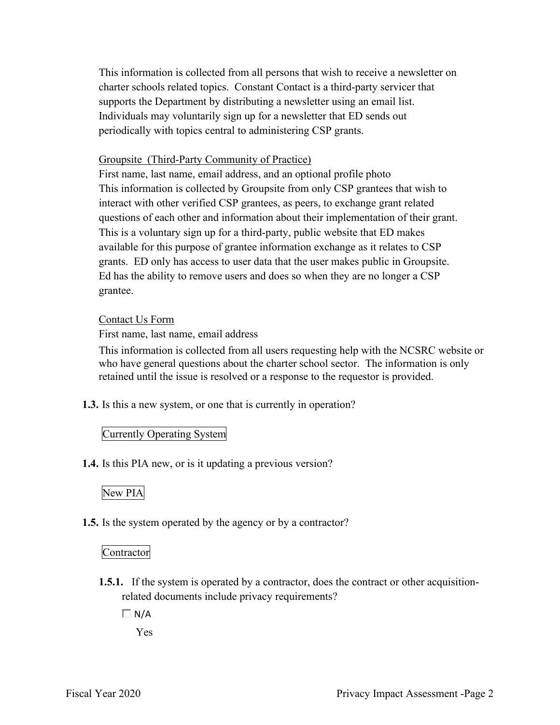This information is collected from all persons that wish to receive a newsletter on charter schools related topics. Constant Contact is a third-party servicer that supports the Department by distributing a newsletter using an email list. Individuals may voluntarily sign up for a newsletter that ED sends out periodically with topics central to administering CSP grants.

#### Groupsite (Third-Party Community of Practice)

 First name, last name, email address, and an optional profile photo grants. ED only has access to user data that the user makes public in Groupsite. Ed has the ability to remove users and does so when they are no longer a CSP This information is collected by Groupsite from only CSP grantees that wish to interact with other verified CSP grantees, as peers, to exchange grant related questions of each other and information about their implementation of their grant. This is a voluntary sign up for a third-party, public website that ED makes available for this purpose of grantee information exchange as it relates to CSP grantee.

#### Contact Us Form

First name, last name, email address

 who have general questions about the charter school sector. The information is only This information is collected from all users requesting help with the NCSRC website or retained until the issue is resolved or a response to the requestor is provided.

**1.3.** Is this a new system, or one that is currently in operation?

#### Currently Operating System

**1.4.** Is this PIA new, or is it updating a previous version?

#### New PIA

**1.5.** Is the system operated by the agency or by a contractor?

#### Contractor

- **1.5.1.** If the system is operated by a contractor, does the contract or other acquisitionrelated documents include privacy requirements?
	- $\Box$  N/A

Yes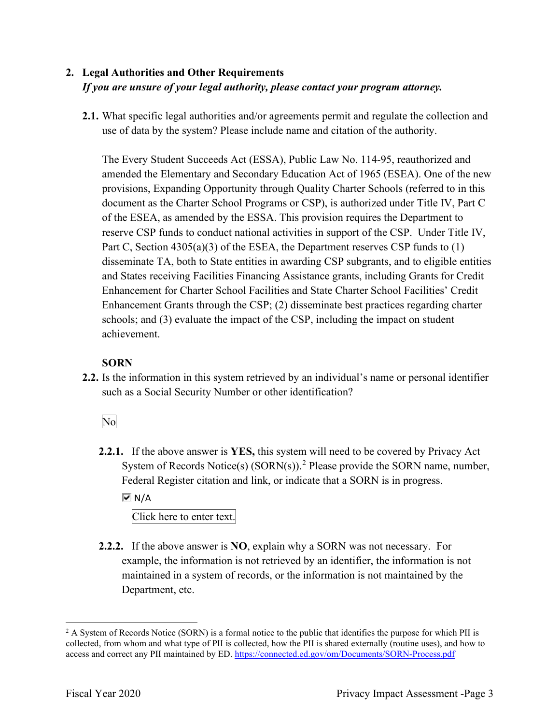## **2. Legal Authorities and Other Requirements**  *If you are unsure of your legal authority, please contact your program attorney.*

 **2.1.** What specific legal authorities and/or agreements permit and regulate the collection and use of data by the system? Please include name and citation of the authority.

 document as the Charter School Programs or CSP), is authorized under Title IV, Part C The Every Student Succeeds Act (ESSA), Public Law No. 114-95, reauthorized and amended the Elementary and Secondary Education Act of 1965 (ESEA). One of the new provisions, Expanding Opportunity through Quality Charter Schools (referred to in this of the ESEA, as amended by the ESSA. This provision requires the Department to reserve CSP funds to conduct national activities in support of the CSP. Under Title IV, Part C, Section 4305(a)(3) of the ESEA, the Department reserves CSP funds to (1) disseminate TA, both to State entities in awarding CSP subgrants, and to eligible entities and States receiving Facilities Financing Assistance grants, including Grants for Credit Enhancement for Charter School Facilities and State Charter School Facilities' Credit Enhancement Grants through the CSP; (2) disseminate best practices regarding charter schools; and (3) evaluate the impact of the CSP, including the impact on student achievement.

#### **SORN**

such as a Social Security Number or other identification?<br>No **2.2.** Is the information in this system retrieved by an individual's name or personal identifier

**2.2.1.** If the above answer is **YES,** this system will need to be covered by Privacy Act System of Records Notice(s)  $(SORN(s))$ .<sup>2</sup> Please provide the SORN name, number, Federal Register citation and link, or indicate that a SORN is in progress.

 $\overline{M}$  N/A

Click here to enter text.

 **2.2.2.** If the above answer is **NO**, explain why a SORN was not necessary. For Department, etc. example, the information is not retrieved by an identifier, the information is not maintained in a system of records, or the information is not maintained by the

access and correct any PII maintained by ED. https://connected.ed.gov/om/Documents/SORN-Process.pdf<br>Fiscal Year 2020 Privacy Impact Assessment -Page 3  $2$  A System of Records Notice (SORN) is a formal notice to the public that identifies the purpose for which PII is collected, from whom and what type of PII is collected, how the PII is shared externally (routine uses), and how to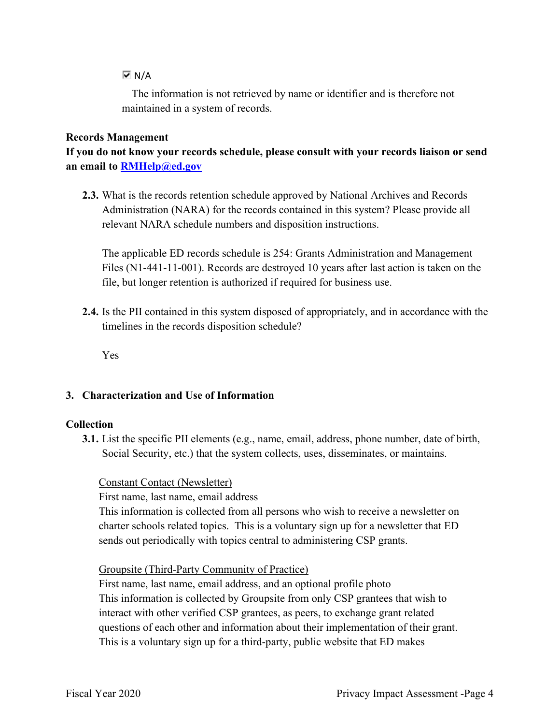#### $\overline{M}$  N/A

The information is not retrieved by name or identifier and is therefore not maintained in a system of records.

#### **Records Management**

**If you do not know your records schedule, please consult with your records liaison or send an email to [RMHelp@ed.gov](mailto:RMHelp@ed.gov)** 

 **2.3.** What is the records retention schedule approved by National Archives and Records Administration (NARA) for the records contained in this system? Please provide all relevant NARA schedule numbers and disposition instructions.

 file, but longer retention is authorized if required for business use. The applicable ED records schedule is 254: Grants Administration and Management Files (N1-441-11-001). Records are destroyed 10 years after last action is taken on the

**2.4.** Is the PII contained in this system disposed of appropriately, and in accordance with the timelines in the records disposition schedule?

Yes

#### **3. Characterization and Use of Information**

#### **Collection**

**3.1.** List the specific PII elements (e.g., name, email, address, phone number, date of birth, Social Security, etc.) that the system collects, uses, disseminates, or maintains.

Constant Contact (Newsletter)

First name, last name, email address

This information is collected from all persons who wish to receive a newsletter on charter schools related topics. This is a voluntary sign up for a newsletter that ED sends out periodically with topics central to administering CSP grants.

Groupsite (Third-Party Community of Practice)

 First name, last name, email address, and an optional profile photo This information is collected by Groupsite from only CSP grantees that wish to interact with other verified CSP grantees, as peers, to exchange grant related questions of each other and information about their implementation of their grant. This is a voluntary sign up for a third-party, public website that ED makes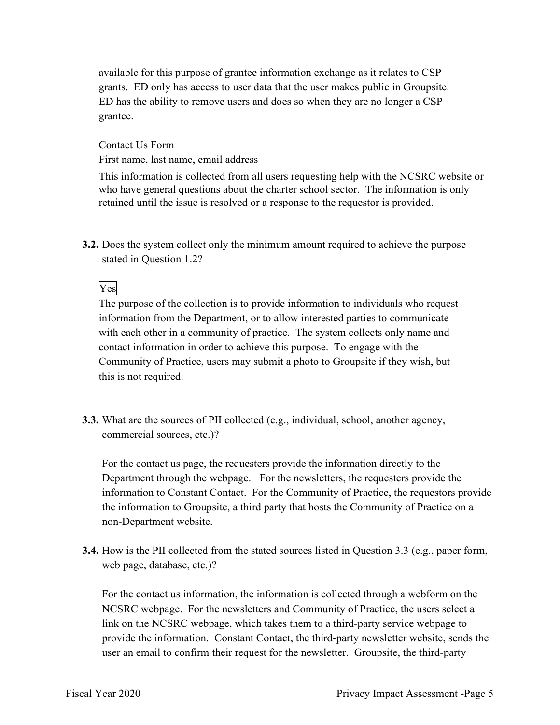ED has the ability to remove users and does so when they are no longer a CSP available for this purpose of grantee information exchange as it relates to CSP grants. ED only has access to user data that the user makes public in Groupsite. grantee.

Contact Us Form

First name, last name, email address

This information is collected from all users requesting help with the NCSRC website or who have general questions about the charter school sector. The information is only retained until the issue is resolved or a response to the requestor is provided.

stated in Question 1.2?<br>Ves **3.2.** Does the system collect only the minimum amount required to achieve the purpose

## Yes

 contact information in order to achieve this purpose. To engage with the The purpose of the collection is to provide information to individuals who request information from the Department, or to allow interested parties to communicate with each other in a community of practice. The system collects only name and Community of Practice, users may submit a photo to Groupsite if they wish, but this is not required.

**3.3.** What are the sources of PII collected (e.g., individual, school, another agency, commercial sources, etc.)?

 Department through the webpage. For the newsletters, the requesters provide the information to Constant Contact. For the Community of Practice, the requestors provide the information to Groupsite, a third party that hosts the Community of Practice on a For the contact us page, the requesters provide the information directly to the non-Department website.

 **3.4.** How is the PII collected from the stated sources listed in Question 3.3 (e.g., paper form, web page, database, etc.)?

 provide the information. Constant Contact, the third-party newsletter website, sends the For the contact us information, the information is collected through a webform on the NCSRC webpage. For the newsletters and Community of Practice, the users select a link on the NCSRC webpage, which takes them to a third-party service webpage to user an email to confirm their request for the newsletter. Groupsite, the third-party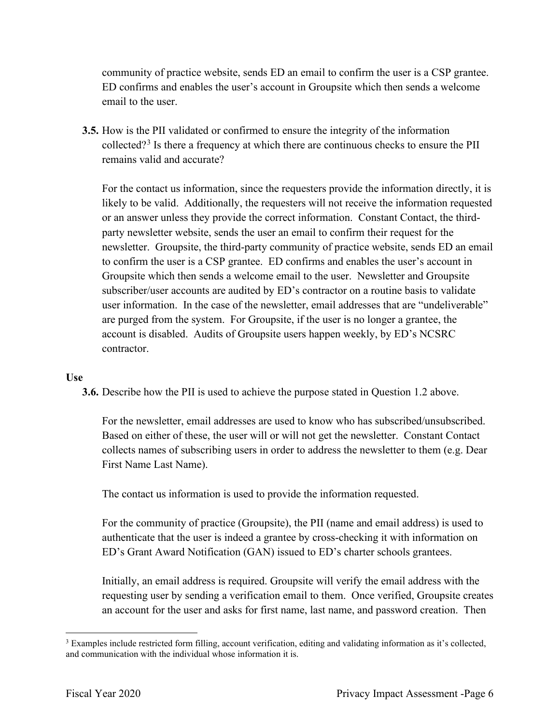community of practice website, sends ED an email to confirm the user is a CSP grantee. ED confirms and enables the user's account in Groupsite which then sends a welcome email to the user.

**3.5.** How is the PII validated or confirmed to ensure the integrity of the information collected?<sup>3</sup> Is there a frequency at which there are continuous checks to ensure the PII remains valid and accurate?

 or an answer unless they provide the correct information. Constant Contact, the third- party newsletter website, sends the user an email to confirm their request for the user information. In the case of the newsletter, email addresses that are "undeliverable" account is disabled. Audits of Groupsite users happen weekly, by ED's NCSRC For the contact us information, since the requesters provide the information directly, it is likely to be valid. Additionally, the requesters will not receive the information requested newsletter. Groupsite, the third-party community of practice website, sends ED an email to confirm the user is a CSP grantee. ED confirms and enables the user's account in Groupsite which then sends a welcome email to the user. Newsletter and Groupsite subscriber/user accounts are audited by ED's contractor on a routine basis to validate are purged from the system. For Groupsite, if the user is no longer a grantee, the contractor.

#### **Use**

**3.6.** Describe how the PII is used to achieve the purpose stated in Question 1.2 above.

 Based on either of these, the user will or will not get the newsletter. Constant Contact For the newsletter, email addresses are used to know who has subscribed/unsubscribed. collects names of subscribing users in order to address the newsletter to them (e.g. Dear First Name Last Name).

The contact us information is used to provide the information requested.

ED's Grant Award Notification (GAN) issued to ED's charter schools grantees. For the community of practice (Groupsite), the PII (name and email address) is used to authenticate that the user is indeed a grantee by cross-checking it with information on

 an account for the user and asks for first name, last name, and password creation. Then Initially, an email address is required. Groupsite will verify the email address with the requesting user by sending a verification email to them. Once verified, Groupsite creates

and communication with the individual whose information it is. <sup>3</sup> Examples include restricted form filling, account verification, editing and validating information as it's collected, and communication with the individual whose information it is.<br>Fiscal Year 2020 Privacy Impact Assessment -Page 6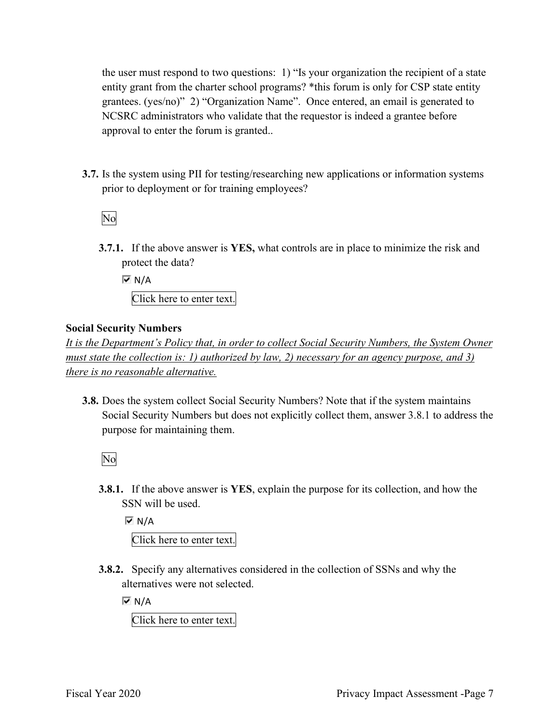the user must respond to two questions: 1) "Is your organization the recipient of a state entity grant from the charter school programs? \*this forum is only for CSP state entity grantees. (yes/no)" 2) "Organization Name". Once entered, an email is generated to NCSRC administrators who validate that the requestor is indeed a grantee before approval to enter the forum is granted..

 **3.7.** Is the system using PII for testing/researching new applications or information systems prior to deployment or for training employees?<br>No

**3.7.1.** If the above answer is **YES,** what controls are in place to minimize the risk and protect the data?

 Click here to enter text.  $\overline{M}$  N/A

#### **Social Security Numbers**

*It is the Department's Policy that, in order to collect Social Security Numbers, the System Owner must state the collection is: 1) authorized by law, 2) necessary for an agency purpose, and 3) there is no reasonable alternative.* 

 **3.8.** Does the system collect Social Security Numbers? Note that if the system maintains Social Security Numbers but does not explicitly collect them, answer 3.8.1 to address the purpose for maintaining them.

No

**3.8.1.** If the above answer is **YES**, explain the purpose for its collection, and how the SSN will be used.

 $M/N$ 

Click here to enter text.

 **3.8.2.** Specify any alternatives considered in the collection of SSNs and why the alternatives were not selected.

 $\overline{M}$  N/A

Click here to enter text.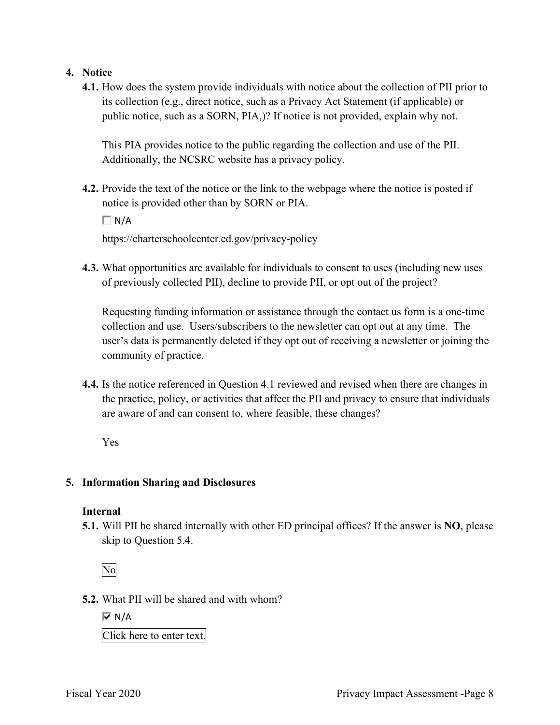#### **4. Notice**

 its collection (e.g., direct notice, such as a Privacy Act Statement (if applicable) or public notice, such as a SORN, PIA,)? If notice is not provided, explain why not. **4.1.** How does the system provide individuals with notice about the collection of PII prior to

 Additionally, the NCSRC website has a privacy policy. This PIA provides notice to the public regarding the collection and use of the PII.

**4.2.** Provide the text of the notice or the link to the webpage where the notice is posted if notice is provided other than by SORN or PIA.

 $\Box$  N/A

<https://charterschoolcenter.ed.gov/privacy-policy>

**4.3.** What opportunities are available for individuals to consent to uses (including new uses of previously collected PII), decline to provide PII, or opt out of the project?

 collection and use. Users/subscribers to the newsletter can opt out at any time. The user's data is permanently deleted if they opt out of receiving a newsletter or joining the Requesting funding information or assistance through the contact us form is a one-time community of practice.

 are aware of and can consent to, where feasible, these changes? **4.4.** Is the notice referenced in Question 4.1 reviewed and revised when there are changes in the practice, policy, or activities that affect the PII and privacy to ensure that individuals

Yes

#### **5. Information Sharing and Disclosures**

#### **Internal**

 **5.1.** Will PII be shared internally with other ED principal offices? If the answer is **NO**, please skip to Question 5.4.

No

**5.2.** What PII will be shared and with whom?

 $\overline{M}$  N/A

Click here to enter text.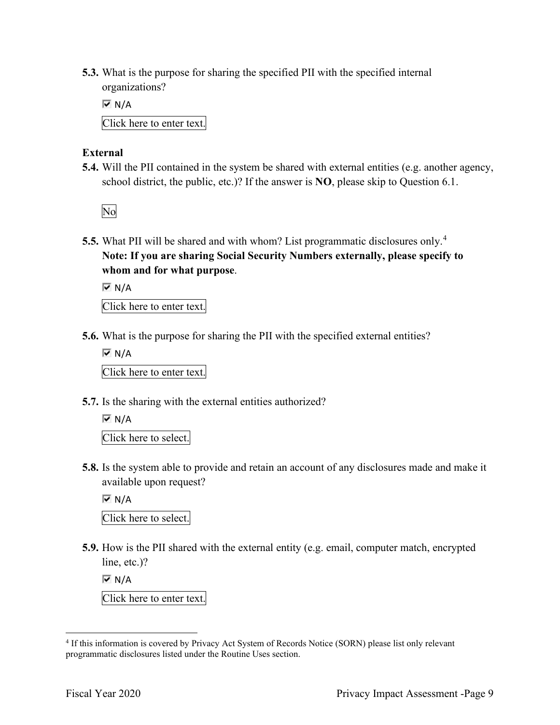organizations? **5.3.** What is the purpose for sharing the specified PII with the specified internal

 $\overline{M}$  N/A

Click here to enter text.

#### **External**

 school district, the public, etc.)? If the answer is **NO**, please skip to Question 6.1. **5.4.** Will the PII contained in the system be shared with external entities (e.g. another agency,

No

 **5.5.** What PII will be shared and with whom? List programmatic disclosures only.<sup>4</sup> **Note: If you are sharing Social Security Numbers externally, please specify to whom and for what purpose**.

 $\overline{M}$  N/A

Click here to enter text.

**5.6.** What is the purpose for sharing the PII with the specified external entities?

 $\overline{M}$  N/A

Click here to enter text.

**5.7.** Is the sharing with the external entities authorized?

```
\overline{a} 
Click here to select. 
\overline{M} N/A
```
**5.8.** Is the system able to provide and retain an account of any disclosures made and make it available upon request?

 $\overline{M}$  N/A

Click here to select.

 **5.9.** How is the PII shared with the external entity (e.g. email, computer match, encrypted line, etc.)?

 $\overline{M}$  N/A

Click here to enter text.

<sup>&</sup>lt;sup>4</sup> If this information is covered by Privacy Act System of Records Notice (SORN) please list only relevant programmatic disclosures listed under the Routine Uses section.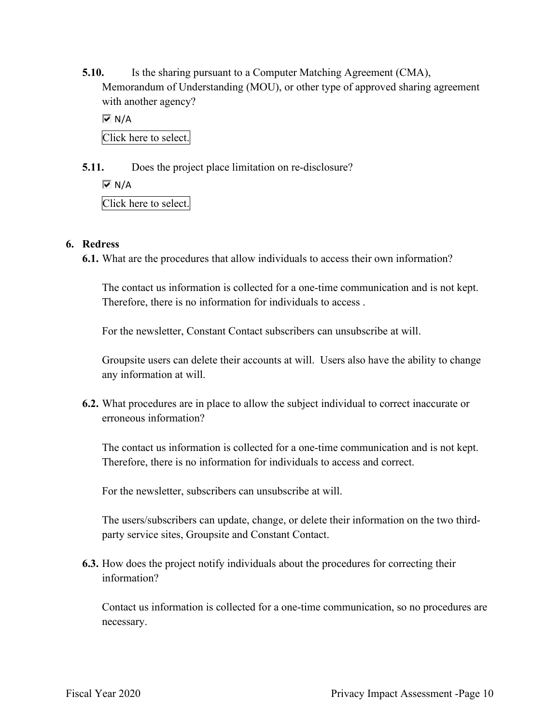**5.10.** Is the sharing pursuant to a Computer Matching Agreement (CMA), Memorandum of Understanding (MOU), or other type of approved sharing agreement with another agency?

 Click here to select.  $\overline{M}$  N/A

**5.11.** Does the project place limitation on re-disclosure?

 $\overline{M}$  N/A

Click here to select.

#### **6. Redress**

**6.1.** What are the procedures that allow individuals to access their own information?

 Therefore, there is no information for individuals to access . The contact us information is collected for a one-time communication and is not kept.

For the newsletter, Constant Contact subscribers can unsubscribe at will.

Groupsite users can delete their accounts at will. Users also have the ability to change any information at will.

**6.2.** What procedures are in place to allow the subject individual to correct inaccurate or erroneous information?

 Therefore, there is no information for individuals to access and correct. The contact us information is collected for a one-time communication and is not kept.

For the newsletter, subscribers can unsubscribe at will.

The users/subscribers can update, change, or delete their information on the two thirdparty service sites, Groupsite and Constant Contact.

**6.3.** How does the project notify individuals about the procedures for correcting their information?

 Contact us information is collected for a one-time communication, so no procedures are necessary.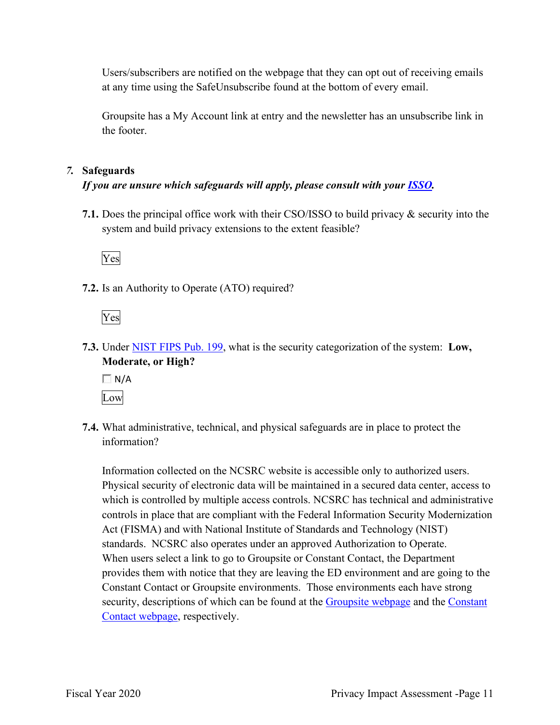Users/subscribers are notified on the webpage that they can opt out of receiving emails at any time using the SafeUnsubscribe found at the bottom of every email.

Groupsite has a My Account link at entry and the newsletter has an unsubscribe link in the footer.

#### *7.* **Safeguards**

#### *If you are unsure which safeguards will apply, please consult with your ISSO.*

 system and build privacy extensions to the extent feasible? **7.1.** Does the principal office work with their CSO/ISSO to build privacy & security into the



**7.2.** Is an Authority to Operate (ATO) required?

Yes

**7.3.** Under NIST FIPS Pub. 199, what is the security categorization of the system: **Low, Moderate, or High?** 

 $\Box$  N/A Low

**7.4.** What administrative, technical, and physical safeguards are in place to protect the information?

Information collected on the NCSRC website is accessible only to authorized users. Physical security of electronic data will be maintained in a secured data center, access to which is controlled by multiple access controls. NCSRC has technical and administrative controls in place that are compliant with the Federal Information Security Modernization Act (FISMA) and with National Institute of Standards and Technology (NIST) standards. NCSRC also operates under an approved Authorization to Operate. When users select a link to go to Groupsite or Constant Contact, the Department provides them with notice that they are leaving the ED environment and are going to the Constant Contact or Groupsite environments. Those environments each have strong security, descriptions of which can be found at the Groupsite webpage and the Constant Contact webpage, respectively.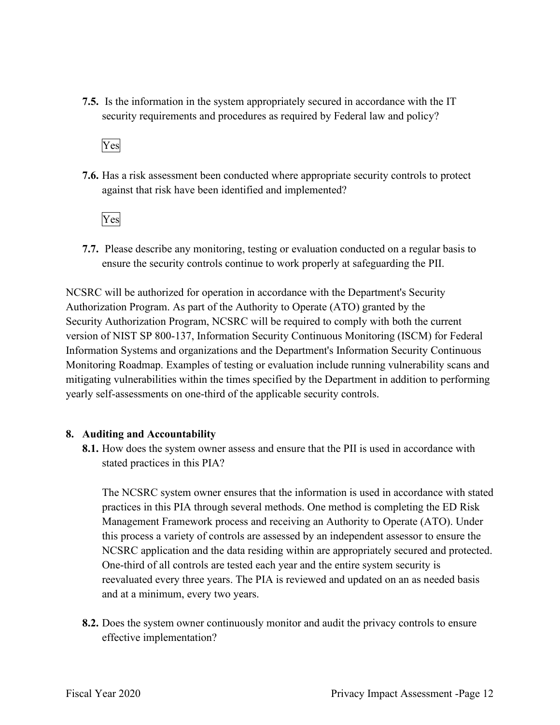**7.5.** Is the information in the system appropriately secured in accordance with the IT security requirements and procedures as required by Federal law and policy?

Yes

**7.6.** Has a risk assessment been conducted where appropriate security controls to protect against that risk have been identified and implemented?

Yes

 ensure the security controls continue to work properly at safeguarding the PII. **7.7.** Please describe any monitoring, testing or evaluation conducted on a regular basis to

 NCSRC will be authorized for operation in accordance with the Department's Security Information Systems and organizations and the Department's Information Security Continuous Authorization Program. As part of the Authority to Operate (ATO) granted by the Security Authorization Program, NCSRC will be required to comply with both the current version of NIST SP 800-137, Information Security Continuous Monitoring (ISCM) for Federal Monitoring Roadmap. Examples of testing or evaluation include running vulnerability scans and mitigating vulnerabilities within the times specified by the Department in addition to performing yearly self-assessments on one-third of the applicable security controls.

#### **8. Auditing and Accountability**

 **8.1.** How does the system owner assess and ensure that the PII is used in accordance with stated practices in this PIA?

The NCSRC system owner ensures that the information is used in accordance with stated practices in this PIA through several methods. One method is completing the ED Risk Management Framework process and receiving an Authority to Operate (ATO). Under this process a variety of controls are assessed by an independent assessor to ensure the NCSRC application and the data residing within are appropriately secured and protected. One-third of all controls are tested each year and the entire system security is reevaluated every three years. The PIA is reviewed and updated on an as needed basis and at a minimum, every two years.

 **8.2.** Does the system owner continuously monitor and audit the privacy controls to ensure effective implementation?